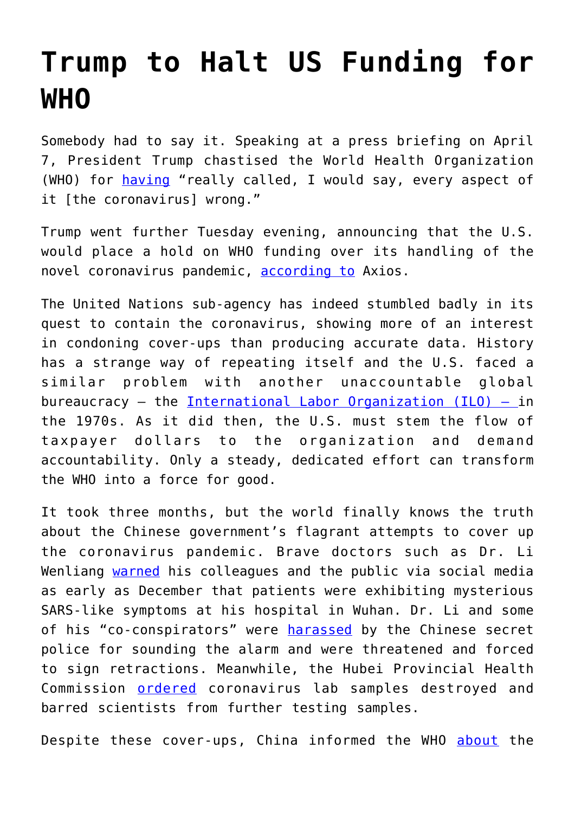## **[Trump to Halt US Funding for](https://intellectualtakeout.org/2020/04/trump-to-halt-us-funding-for-who/) [WHO](https://intellectualtakeout.org/2020/04/trump-to-halt-us-funding-for-who/)**

Somebody had to say it. Speaking at a press briefing on April 7, President Trump chastised the World Health Organization (WHO) for [having](https://www.cnbc.com/2020/04/07/trump-blames-who-for-getting-coronavirus-pandemic-wrong-threatens-to-withhold-funding.html) "really called, I would say, every aspect of it [the coronavirus] wrong."

Trump went further Tuesday evening, announcing that the U.S. would place a hold on WHO funding over its handling of the novel coronavirus pandemic, [according to](https://www.axios.com/trump-world-health-organization-funding-65de2595-2d5e-4a6c-b7c6-9c18aa4cb905.html?fbclid=IwAR2Sa16CA32GdYLkecEe1k3rbZfOzYrSsAGiExfty10zU8We96-VEk8t0qQ) Axios.

The United Nations sub-agency has indeed stumbled badly in its quest to contain the coronavirus, showing more of an interest in condoning cover-ups than producing accurate data. History has a strange way of repeating itself and the U.S. faced a similar problem with another unaccountable global bureaucracy  $-$  the International Labor Organization (ILO)  $-$  in the 1970s. As it did then, the U.S. must stem the flow of taxpayer dollars to the organization and demand accountability. Only a steady, dedicated effort can transform the WHO into a force for good.

It took three months, but the world finally knows the truth about the Chinese government's flagrant attempts to cover up the coronavirus pandemic. Brave doctors such as Dr. Li Wenliang [warned](https://www.cnn.com/2020/02/03/asia/coronavirus-doctor-whistle-blower-intl-hnk/index.html) his colleagues and the public via social media as early as December that patients were exhibiting mysterious SARS-like symptoms at his hospital in Wuhan. Dr. Li and some of his "co-conspirators" were [harassed](https://www.latimes.com/world-nation/story/2020-02-06/coronavirus-china-xi-li-wenliang) by the Chinese secret police for sounding the alarm and were threatened and forced to sign retractions. Meanwhile, the Hubei Provincial Health Commission [ordered](https://www.straitstimes.com/asia/east-asia/how-early-signs-of-the-coronavirus-were-spotted-spread-and-throttled-in-china) coronavirus lab samples destroyed and barred scientists from further testing samples.

Despite these cover-ups, China informed the WHO [about](https://www.washingtonpost.com/world/2020/02/01/early-missteps-state-secrecy-china-likely-allowed-coronavirus-spread-farther-faster/) the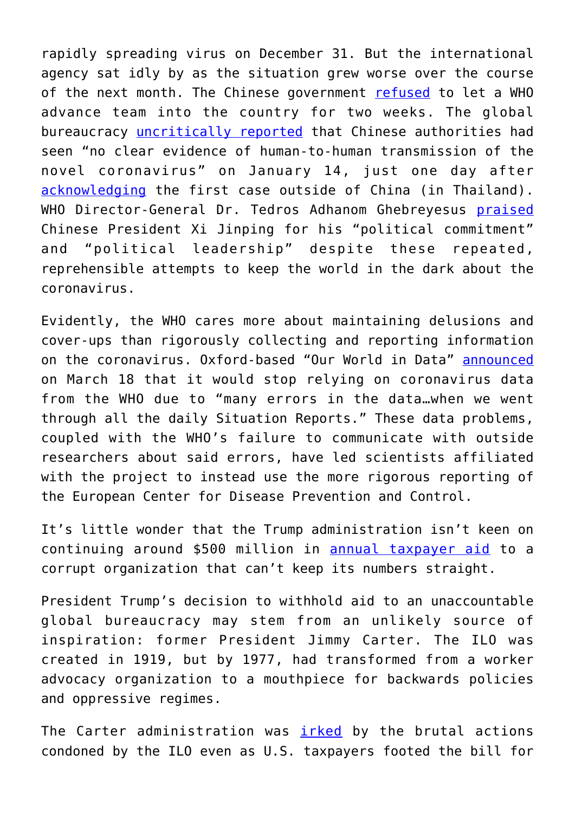rapidly spreading virus on December 31. But the international agency sat idly by as the situation grew worse over the course of the next month. The Chinese government [refused](https://www.reuters.com/article/us-china-health-who/advance-team-of-who-experts-arrives-in-china-to-probe-coronavirus-idUSKBN2041S9) to let a WHO advance team into the country for two weeks. The global bureaucracy [uncritically reported](https://twitter.com/WHO/status/1217043229427761152?ref_src=twsrc%5Etfw%7Ctwcamp%5Etweetembed&ref_url=https%3A%2F%2Fwww.foxnews.com%2Fworld%2Fworld-health-organization-january-tweet-china-human-transmission-coronavirus) that Chinese authorities had seen "no clear evidence of human-to-human transmission of the novel coronavirus" on January 14, just one day after [acknowledging](https://www.who.int/news-room/detail/13-01-2020-who-statement-on-novel-coronavirus-in-thailand) the first case outside of China (in Thailand). WHO Director-General Dr. Tedros Adhanom Ghebreyesus [praised](https://www.scmp.com/news/china/science/article/3050351/coronavirus-who-head-stands-his-praise-china-and-xi-jinping) Chinese President Xi Jinping for his "political commitment" and "political leadership" despite these repeated, reprehensible attempts to keep the world in the dark about the coronavirus.

Evidently, the WHO cares more about maintaining delusions and cover-ups than rigorously collecting and reporting information on the coronavirus. Oxford-based "Our World in Data" [announced](https://fee.org/articles/oxford-based-group-stops-using-who-data-for-coronavirus-reporting-citing-errors/) on March 18 that it would stop relying on coronavirus data from the WHO due to "many errors in the data…when we went through all the daily Situation Reports." These data problems, coupled with the WHO's failure to communicate with outside researchers about said errors, have led scientists affiliated with the project to instead use the more rigorous reporting of the European Center for Disease Prevention and Control.

It's little wonder that the Trump administration isn't keen on continuing around \$500 million in [annual taxpayer aid](https://www.cfr.org/article/funding-united-nations-what-impact-do-us-contributions-have-un-agencies-and-programs) to a corrupt organization that can't keep its numbers straight.

President Trump's decision to withhold aid to an unaccountable global bureaucracy may stem from an unlikely source of inspiration: former President Jimmy Carter. The ILO was created in 1919, but by 1977, had transformed from a worker advocacy organization to a mouthpiece for backwards policies and oppressive regimes.

The Carter administration was *[irked](https://www.nytimes.com/1977/11/01/archives/usreported-ready-to-leave-the-i-lo-carter-is-said-to-reach-decision.html)* by the brutal actions condoned by the ILO even as U.S. taxpayers footed the bill for